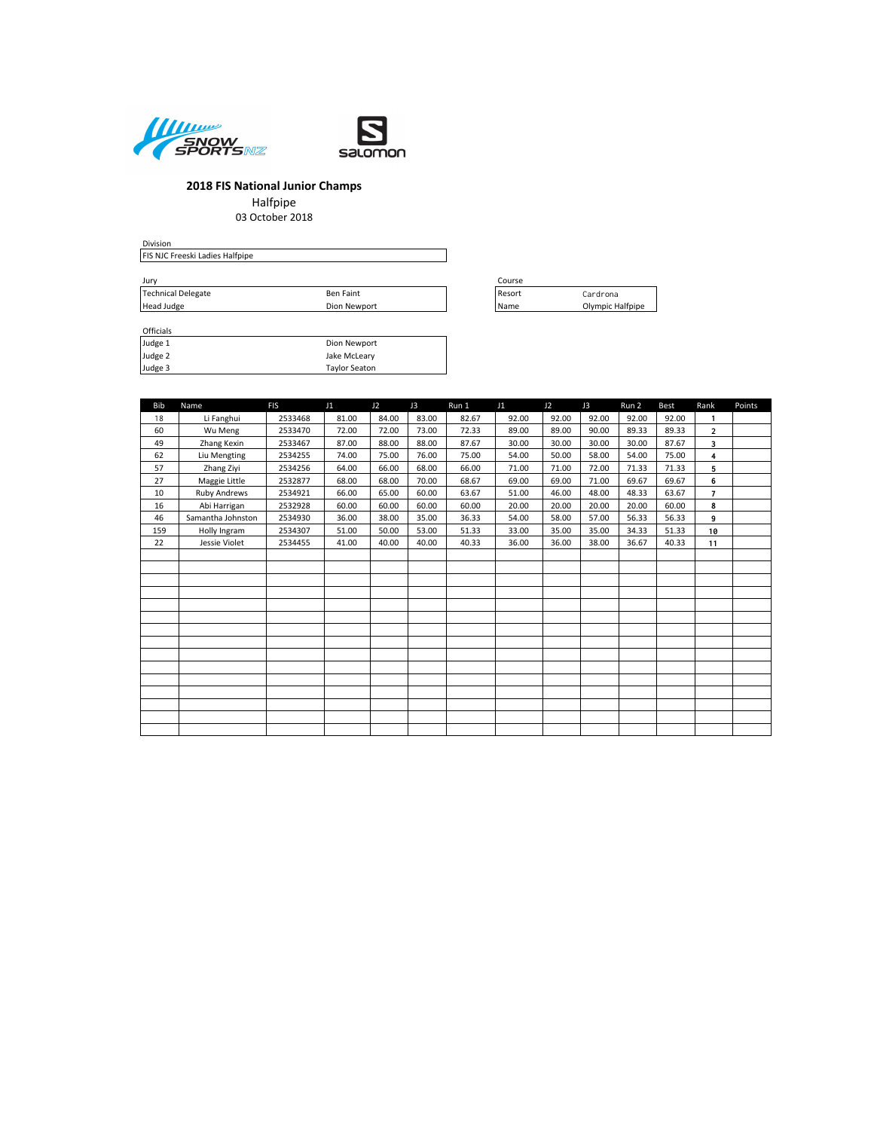



Halfpipe 03 October 2018

Division FIS NJC Freeski Ladies Halfpipe Jury Course Technical Delegate **Ben Faint** Ben Faint Resort Resort Cardrona  $\begin{array}{lll} \text{Jury} & \text{Cc} \\ \text{Technical Delegate} & \text{Ben Faint} \\ \text{Head Judge} & \text{Dion Newport} \\ \text{Nia} & \text{Nia} \end{array}$ 

| <b>Officials</b> |                      |
|------------------|----------------------|
| Judge 1          | Dion Newport         |
| Judge 2          | Jake McLeary         |
| Judge 3          | <b>Taylor Seaton</b> |

| ourse |                  |
|-------|------------------|
| esort | Cardrona         |
| lame  | Olympic Halfpipe |

| <b>Bib</b> | Name                | <b>FIS</b> | J1    | J2    | J3    | Run 1 | J1    | J2    | J3    | Run 2 | Best  | Rank           | Points |
|------------|---------------------|------------|-------|-------|-------|-------|-------|-------|-------|-------|-------|----------------|--------|
| 18         | Li Fanghui          | 2533468    | 81.00 | 84.00 | 83.00 | 82.67 | 92.00 | 92.00 | 92.00 | 92.00 | 92.00 | $\mathbf{1}$   |        |
| 60         | Wu Meng             | 2533470    | 72.00 | 72.00 | 73.00 | 72.33 | 89.00 | 89.00 | 90.00 | 89.33 | 89.33 | $\overline{2}$ |        |
| 49         | Zhang Kexin         | 2533467    | 87.00 | 88.00 | 88.00 | 87.67 | 30.00 | 30.00 | 30.00 | 30.00 | 87.67 | 3              |        |
| 62         | Liu Mengting        | 2534255    | 74.00 | 75.00 | 76.00 | 75.00 | 54.00 | 50.00 | 58.00 | 54.00 | 75.00 | 4              |        |
| 57         | Zhang Ziyi          | 2534256    | 64.00 | 66.00 | 68.00 | 66.00 | 71.00 | 71.00 | 72.00 | 71.33 | 71.33 | 5              |        |
| 27         | Maggie Little       | 2532877    | 68.00 | 68.00 | 70.00 | 68.67 | 69.00 | 69.00 | 71.00 | 69.67 | 69.67 | 6              |        |
| 10         | <b>Ruby Andrews</b> | 2534921    | 66.00 | 65.00 | 60.00 | 63.67 | 51.00 | 46.00 | 48.00 | 48.33 | 63.67 | $\overline{7}$ |        |
| 16         | Abi Harrigan        | 2532928    | 60.00 | 60.00 | 60.00 | 60.00 | 20.00 | 20.00 | 20.00 | 20.00 | 60.00 | 8              |        |
| 46         | Samantha Johnston   | 2534930    | 36.00 | 38.00 | 35.00 | 36.33 | 54.00 | 58.00 | 57.00 | 56.33 | 56.33 | 9              |        |
| 159        | Holly Ingram        | 2534307    | 51.00 | 50.00 | 53.00 | 51.33 | 33.00 | 35.00 | 35.00 | 34.33 | 51.33 | 10             |        |
| 22         | Jessie Violet       | 2534455    | 41.00 | 40.00 | 40.00 | 40.33 | 36.00 | 36.00 | 38.00 | 36.67 | 40.33 | 11             |        |
|            |                     |            |       |       |       |       |       |       |       |       |       |                |        |
|            |                     |            |       |       |       |       |       |       |       |       |       |                |        |
|            |                     |            |       |       |       |       |       |       |       |       |       |                |        |
|            |                     |            |       |       |       |       |       |       |       |       |       |                |        |
|            |                     |            |       |       |       |       |       |       |       |       |       |                |        |
|            |                     |            |       |       |       |       |       |       |       |       |       |                |        |
|            |                     |            |       |       |       |       |       |       |       |       |       |                |        |
|            |                     |            |       |       |       |       |       |       |       |       |       |                |        |
|            |                     |            |       |       |       |       |       |       |       |       |       |                |        |
|            |                     |            |       |       |       |       |       |       |       |       |       |                |        |
|            |                     |            |       |       |       |       |       |       |       |       |       |                |        |
|            |                     |            |       |       |       |       |       |       |       |       |       |                |        |
|            |                     |            |       |       |       |       |       |       |       |       |       |                |        |
|            |                     |            |       |       |       |       |       |       |       |       |       |                |        |
|            |                     |            |       |       |       |       |       |       |       |       |       |                |        |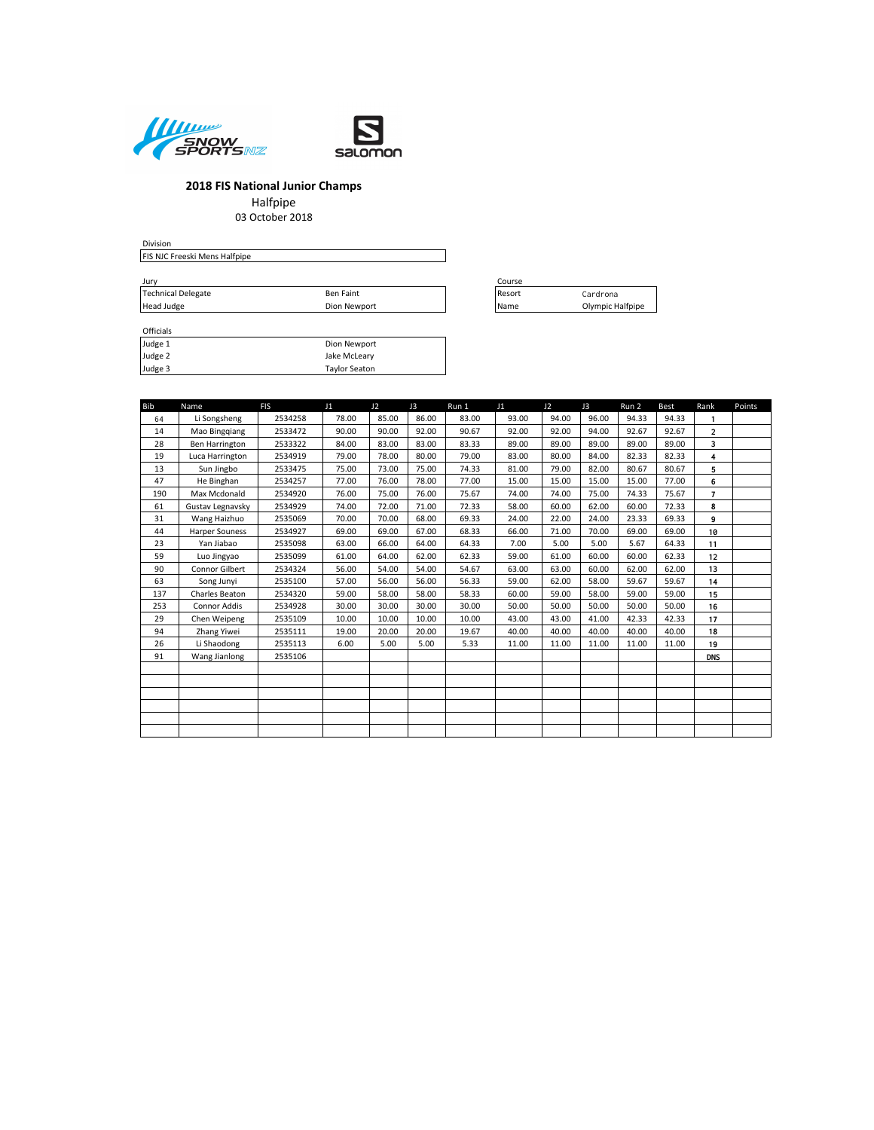



Halfpipe 03 October 2018

| Division                      |              |        |                  |
|-------------------------------|--------------|--------|------------------|
| FIS NJC Freeski Mens Halfpipe |              |        |                  |
| Jury                          |              | Course |                  |
| Technical Delegate            | Ben Faint    | Resort | Cardrona         |
| Head Judge                    | Dion Newport | Name   | Olympic Halfpipe |

| <b>Officials</b> |                      |
|------------------|----------------------|
| Judge 1          | Dion Newport         |
| Judge 2          | Jake McLeary         |
| Judge 3          | <b>Taylor Seaton</b> |

| ouise |                  |
|-------|------------------|
| esort | Cardrona         |
| lame  | Olympic Halfpipe |

| <b>Bib</b> | Name                  | <b>FIS</b> | J1    | J2    | J3    | Run 1 | J1    | 12    | J3    | Run 2 | Best  | Rank           | Points |
|------------|-----------------------|------------|-------|-------|-------|-------|-------|-------|-------|-------|-------|----------------|--------|
| 64         | Li Songsheng          | 2534258    | 78.00 | 85.00 | 86.00 | 83.00 | 93.00 | 94.00 | 96.00 | 94.33 | 94.33 | $\mathbf{1}$   |        |
| 14         | Mao Binggiang         | 2533472    | 90.00 | 90.00 | 92.00 | 90.67 | 92.00 | 92.00 | 94.00 | 92.67 | 92.67 | $\overline{2}$ |        |
| 28         | <b>Ben Harrington</b> | 2533322    | 84.00 | 83.00 | 83.00 | 83.33 | 89.00 | 89.00 | 89.00 | 89.00 | 89.00 | 3              |        |
| 19         | Luca Harrington       | 2534919    | 79.00 | 78.00 | 80.00 | 79.00 | 83.00 | 80.00 | 84.00 | 82.33 | 82.33 | 4              |        |
| 13         | Sun Jingbo            | 2533475    | 75.00 | 73.00 | 75.00 | 74.33 | 81.00 | 79.00 | 82.00 | 80.67 | 80.67 | 5              |        |
| 47         | He Binghan            | 2534257    | 77.00 | 76.00 | 78.00 | 77.00 | 15.00 | 15.00 | 15.00 | 15.00 | 77.00 | 6              |        |
| 190        | Max Mcdonald          | 2534920    | 76.00 | 75.00 | 76.00 | 75.67 | 74.00 | 74.00 | 75.00 | 74.33 | 75.67 | $\overline{7}$ |        |
| 61         | Gustav Legnavsky      | 2534929    | 74.00 | 72.00 | 71.00 | 72.33 | 58.00 | 60.00 | 62.00 | 60.00 | 72.33 | 8              |        |
| 31         | Wang Haizhuo          | 2535069    | 70.00 | 70.00 | 68.00 | 69.33 | 24.00 | 22.00 | 24.00 | 23.33 | 69.33 | 9              |        |
| 44         | <b>Harper Souness</b> | 2534927    | 69.00 | 69.00 | 67.00 | 68.33 | 66.00 | 71.00 | 70.00 | 69.00 | 69.00 | 10             |        |
| 23         | Yan Jiabao            | 2535098    | 63.00 | 66.00 | 64.00 | 64.33 | 7.00  | 5.00  | 5.00  | 5.67  | 64.33 | 11             |        |
| 59         | Luo Jingyao           | 2535099    | 61.00 | 64.00 | 62.00 | 62.33 | 59.00 | 61.00 | 60.00 | 60.00 | 62.33 | 12             |        |
| 90         | Connor Gilbert        | 2534324    | 56.00 | 54.00 | 54.00 | 54.67 | 63.00 | 63.00 | 60.00 | 62.00 | 62.00 | 13             |        |
| 63         | Song Junyi            | 2535100    | 57.00 | 56.00 | 56.00 | 56.33 | 59.00 | 62.00 | 58.00 | 59.67 | 59.67 | 14             |        |
| 137        | Charles Beaton        | 2534320    | 59.00 | 58.00 | 58.00 | 58.33 | 60.00 | 59.00 | 58.00 | 59.00 | 59.00 | 15             |        |
| 253        | <b>Connor Addis</b>   | 2534928    | 30.00 | 30.00 | 30.00 | 30.00 | 50.00 | 50.00 | 50.00 | 50.00 | 50.00 | 16             |        |
| 29         | Chen Weipeng          | 2535109    | 10.00 | 10.00 | 10.00 | 10.00 | 43.00 | 43.00 | 41.00 | 42.33 | 42.33 | 17             |        |
| 94         | Zhang Yiwei           | 2535111    | 19.00 | 20.00 | 20.00 | 19.67 | 40.00 | 40.00 | 40.00 | 40.00 | 40.00 | 18             |        |
| 26         | Li Shaodong           | 2535113    | 6.00  | 5.00  | 5.00  | 5.33  | 11.00 | 11.00 | 11.00 | 11.00 | 11.00 | 19             |        |
| 91         | Wang Jianlong         | 2535106    |       |       |       |       |       |       |       |       |       | <b>DNS</b>     |        |
|            |                       |            |       |       |       |       |       |       |       |       |       |                |        |
|            |                       |            |       |       |       |       |       |       |       |       |       |                |        |
|            |                       |            |       |       |       |       |       |       |       |       |       |                |        |
|            |                       |            |       |       |       |       |       |       |       |       |       |                |        |
|            |                       |            |       |       |       |       |       |       |       |       |       |                |        |
|            |                       |            |       |       |       |       |       |       |       |       |       |                |        |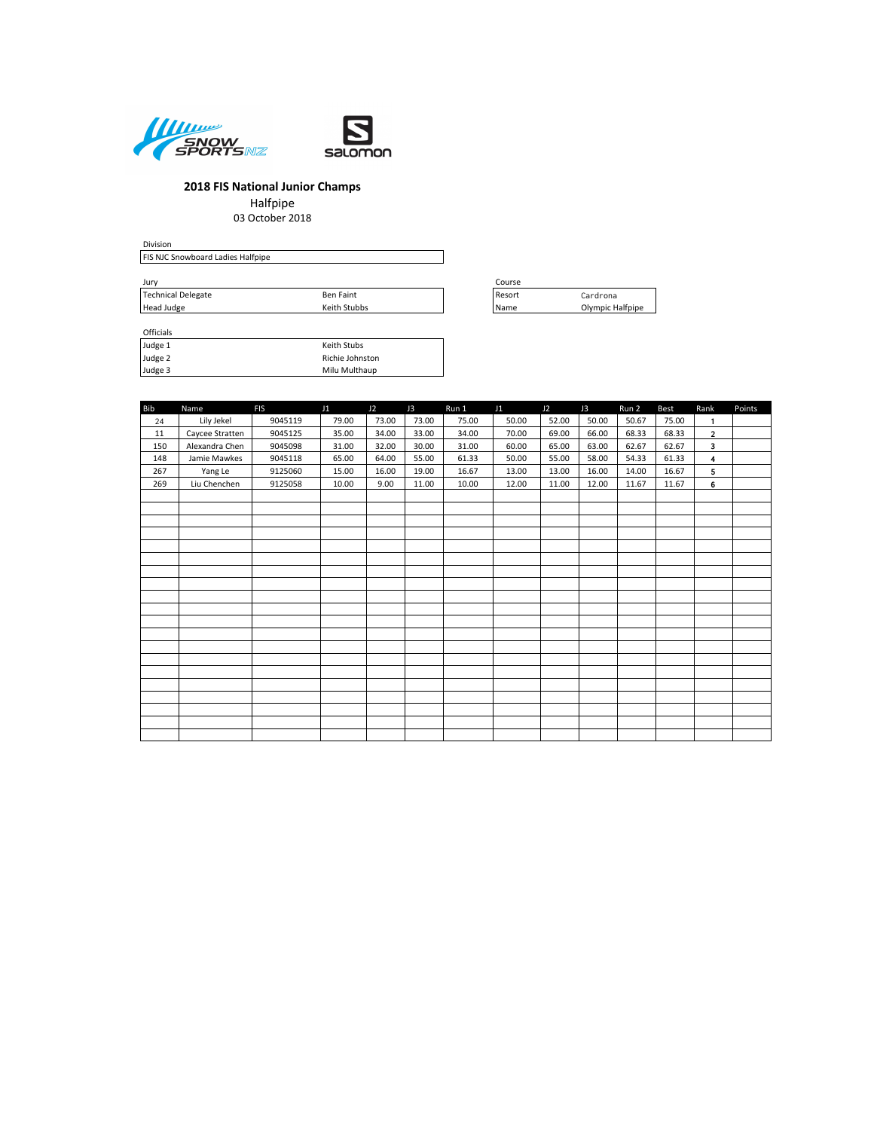



Halfpipe

03 October 2018

| Division                                 |        |
|------------------------------------------|--------|
| <b>FIS NJC Snowboard Ladies Halfpipe</b> |        |
|                                          |        |
| Jurv                                     | Course |
|                                          |        |

| Jurv                      | ourse            |                   |                  |  |
|---------------------------|------------------|-------------------|------------------|--|
| <b>Technical Delegate</b> | <b>Ben Faint</b> | Resor             | `ardrona         |  |
| Head Judge                | Keith Stubbs     | <sup>I</sup> Name | Olympic Halfpipe |  |

| Officials |                 |
|-----------|-----------------|
| Judge 1   | Keith Stubs     |
| Judge 2   | Richie Johnston |
| Judge 3   | Milu Multhaup   |

| ----- |                  |
|-------|------------------|
| esort | Cardrona         |
| lame  | Olympic Halfpipe |

| <b>Bib</b> | Name            | <b>FIS</b> | J1    | J2    | J3    | Run 1 | J1    | J2    | J3    | Run 2 | Best  | Rank           | Points |
|------------|-----------------|------------|-------|-------|-------|-------|-------|-------|-------|-------|-------|----------------|--------|
| 24         | Lily Jekel      | 9045119    | 79.00 | 73.00 | 73.00 | 75.00 | 50.00 | 52.00 | 50.00 | 50.67 | 75.00 | $\mathbf{1}$   |        |
| 11         | Caycee Stratten | 9045125    | 35.00 | 34.00 | 33.00 | 34.00 | 70.00 | 69.00 | 66.00 | 68.33 | 68.33 | $\overline{2}$ |        |
| 150        | Alexandra Chen  | 9045098    | 31.00 | 32.00 | 30.00 | 31.00 | 60.00 | 65.00 | 63.00 | 62.67 | 62.67 | 3              |        |
| 148        | Jamie Mawkes    | 9045118    | 65.00 | 64.00 | 55.00 | 61.33 | 50.00 | 55.00 | 58.00 | 54.33 | 61.33 | $\overline{4}$ |        |
| 267        | Yang Le         | 9125060    | 15.00 | 16.00 | 19.00 | 16.67 | 13.00 | 13.00 | 16.00 | 14.00 | 16.67 | 5              |        |
| 269        | Liu Chenchen    | 9125058    | 10.00 | 9.00  | 11.00 | 10.00 | 12.00 | 11.00 | 12.00 | 11.67 | 11.67 | 6              |        |
|            |                 |            |       |       |       |       |       |       |       |       |       |                |        |
|            |                 |            |       |       |       |       |       |       |       |       |       |                |        |
|            |                 |            |       |       |       |       |       |       |       |       |       |                |        |
|            |                 |            |       |       |       |       |       |       |       |       |       |                |        |
|            |                 |            |       |       |       |       |       |       |       |       |       |                |        |
|            |                 |            |       |       |       |       |       |       |       |       |       |                |        |
|            |                 |            |       |       |       |       |       |       |       |       |       |                |        |
|            |                 |            |       |       |       |       |       |       |       |       |       |                |        |
|            |                 |            |       |       |       |       |       |       |       |       |       |                |        |
|            |                 |            |       |       |       |       |       |       |       |       |       |                |        |
|            |                 |            |       |       |       |       |       |       |       |       |       |                |        |
|            |                 |            |       |       |       |       |       |       |       |       |       |                |        |
|            |                 |            |       |       |       |       |       |       |       |       |       |                |        |
|            |                 |            |       |       |       |       |       |       |       |       |       |                |        |
|            |                 |            |       |       |       |       |       |       |       |       |       |                |        |
|            |                 |            |       |       |       |       |       |       |       |       |       |                |        |
|            |                 |            |       |       |       |       |       |       |       |       |       |                |        |
|            |                 |            |       |       |       |       |       |       |       |       |       |                |        |
|            |                 |            |       |       |       |       |       |       |       |       |       |                |        |
|            |                 |            |       |       |       |       |       |       |       |       |       |                |        |